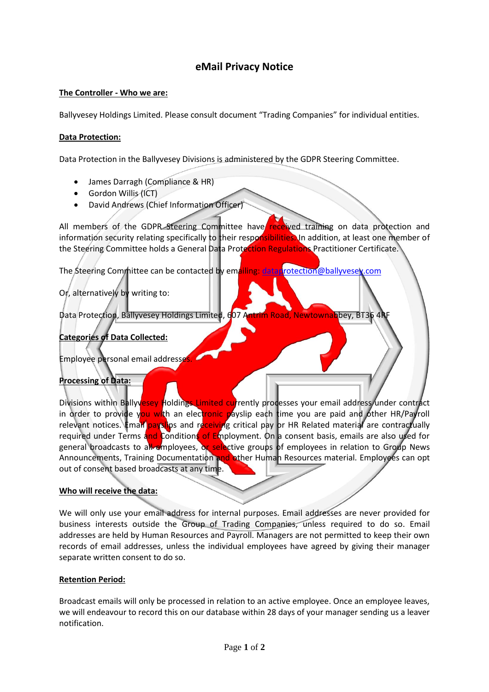# **eMail Privacy Notice**

### **The Controller - Who we are:**

Ballyvesey Holdings Limited. Please consult document "Trading Companies" for individual entities.

### **Data Protection:**

Data Protection in the Ballyvesey Divisions is administered by the GDPR Steering Committee.

- James Darragh (Compliance & HR)
- Gordon Willis (ICT)
- David Andrews (Chief Information Officer)

All members of the GDPR Steering Committee have received training on data protection and information security relating specifically to their responsibilities. In addition, at least one member of the Steering Committee holds a General Data Protection Regulations Practitioner Certificate.

The Steering Committee can be contacted by emailing: [dataprotection@ballyvesey.com](mailto:dataprotection@ballyvesey.com)

Or, alternatively by writing to:

Data Protection, Ballyvesey Holdings Limited, 607 Antrim Road, Newtownabbey, BT36 4RF

**Categories of Data Collected:**

Employee personal email addresses

**Processing of Data:**

Divisions within Ballyvesey Holdings Limited currently processes your email address/under contract in order to provide you with an electronic payslip each time you are paid and other HR/Payroll relevant notices. Email payslips and receiving critical pay or HR Related material are contractually required under Terms and Conditions of Employment. On a consent basis, emails are also used for general broadcasts to all employees, or selective groups of employees in relation to Group News Announcements, Training Documentation and other Human Resources material. Employees can opt out of consent based broadcasts at any time.

## **Who will receive the data:**

We will only use your email address for internal purposes. Email addresses are never provided for business interests outside the Group of Trading Companies, unless required to do so. Email addresses are held by Human Resources and Payroll. Managers are not permitted to keep their own records of email addresses, unless the individual employees have agreed by giving their manager separate written consent to do so.

### **Retention Period:**

Broadcast emails will only be processed in relation to an active employee. Once an employee leaves, we will endeavour to record this on our database within 28 days of your manager sending us a leaver notification.